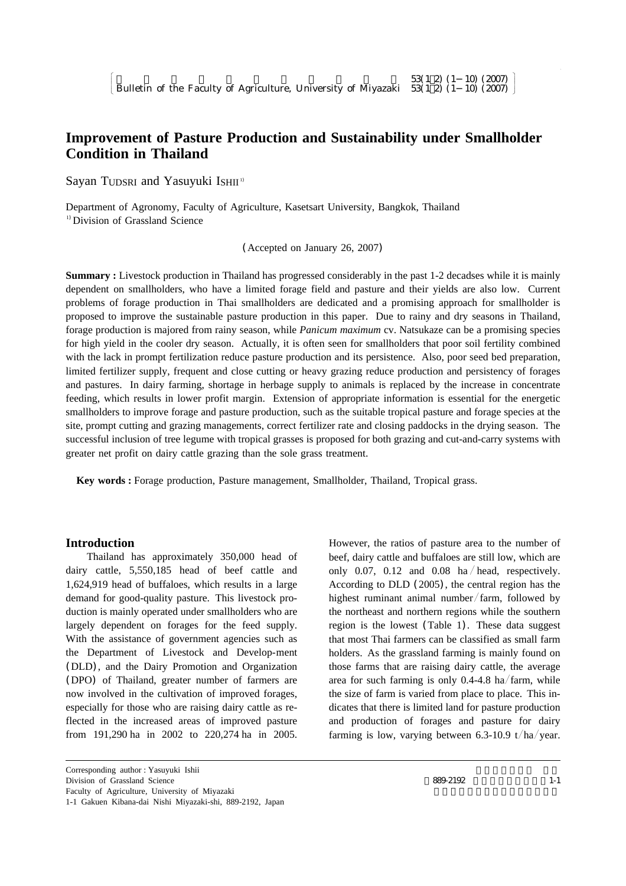# **Improvement of Pasture Production and Sustainability under Smallholder Condition in Thailand**

Sayan TUDSRI and Yasuyuki ISHII<sup>11</sup>

Department of Agronomy, Faculty of Agriculture, Kasetsart University, Bangkok, Thailand <sup>1)</sup> Division of Grassland Science

(Accepted on January 26, 2007)

**Summary :** Livestock production in Thailand has progressed considerably in the past 1-2 decadses while it is mainly dependent on smallholders, who have a limited forage field and pasture and their yields are also low. Current problems of forage production in Thai smallholders are dedicated and a promising approach for smallholder is proposed to improve the sustainable pasture production in this paper. Due to rainy and dry seasons in Thailand, forage production is majored from rainy season, while *Panicum maximum* cv. Natsukaze can be a promising species for high yield in the cooler dry season. Actually, it is often seen for smallholders that poor soil fertility combined with the lack in prompt fertilization reduce pasture production and its persistence. Also, poor seed bed preparation, limited fertilizer supply, frequent and close cutting or heavy grazing reduce production and persistency of forages and pastures. In dairy farming, shortage in herbage supply to animals is replaced by the increase in concentrate feeding, which results in lower profit margin. Extension of appropriate information is essential for the energetic smallholders to improve forage and pasture production, such as the suitable tropical pasture and forage species at the site, prompt cutting and grazing managements, correct fertilizer rate and closing paddocks in the drying season. The successful inclusion of tree legume with tropical grasses is proposed for both grazing and cut-and-carry systems with greater net profit on dairy cattle grazing than the sole grass treatment.

**Key words :** Forage production, Pasture management, Smallholder, Thailand, Tropical grass.

# **Introduction**

Thailand has approximately 350,000 head of dairy cattle, 5,550,185 head of beef cattle and 1,624,919 head of buffaloes, which results in a large demand for good-quality pasture. This livestock production is mainly operated under smallholders who are largely dependent on forages for the feed supply. With the assistance of government agencies such as the Department of Livestock and Develop-ment (DLD), and the Dairy Promotion and Organization (DPO) of Thailand, greater number of farmers are now involved in the cultivation of improved forages, especially for those who are raising dairy cattle as reflected in the increased areas of improved pasture from 191,290 ha in 2002 to 220,274 ha in 2005.

However, the ratios of pasture area to the number of beef, dairy cattle and buffaloes are still low, which are only 0.07, 0.12 and 0.08 ha / head, respectively. According to DLD (2005), the central region has the highest ruminant animal number/farm, followed by the northeast and northern regions while the southern region is the lowest (Table 1). These data suggest that most Thai farmers can be classified as small farm holders. As the grassland farming is mainly found on those farms that are raising dairy cattle, the average area for such farming is only  $0.4-4.8$  ha/farm, while the size of farm is varied from place to place. This indicates that there is limited land for pasture production and production of forages and pasture for dairy farming is low, varying between 6.3-10.9 t/ha/year.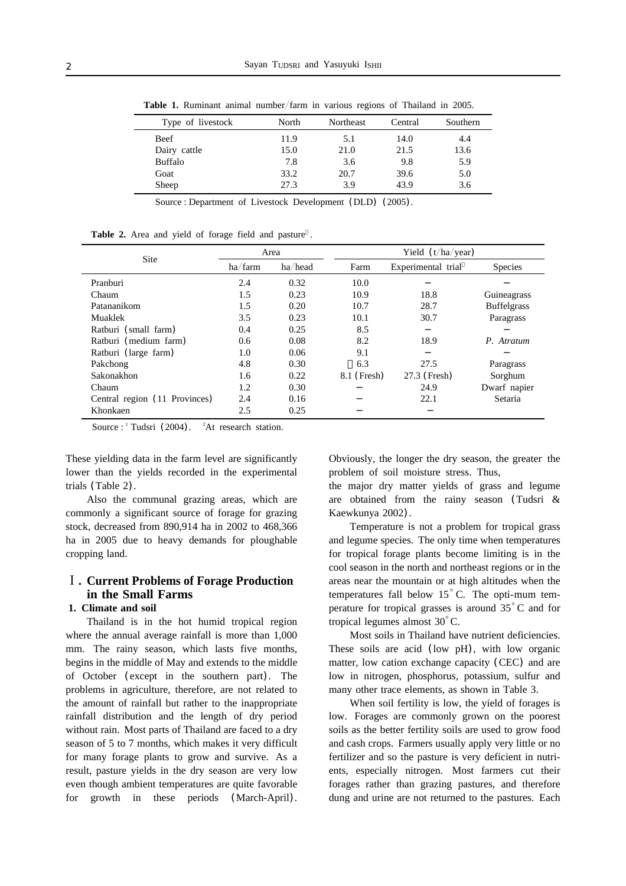| Type of livestock | North | <b>Northeast</b> | Central | Southern |
|-------------------|-------|------------------|---------|----------|
| Beef              | 11.9  | 5.1              | 14.0    | 4.4      |
| Dairy cattle      | 15.0  | 21.0             | 21.5    | 13.6     |
| <b>Buffalo</b>    | 7.8   | 3.6              | 9.8     | 5.9      |
| Goat              | 33.2  | 20.7             | 39.6    | 5.0      |
| Sheep             | 27.3  | 3.9              | 43.9    | 3.6      |

**Table 1.** Ruminant animal number/farm in various regions of Thailand in 2005.

Source : Department of Livestock Development (DLD) (2005).

|  |  |  |  |  |  |  |  |  | Table 2. Area and yield of forage field and pasture. |  |
|--|--|--|--|--|--|--|--|--|------------------------------------------------------|--|
|--|--|--|--|--|--|--|--|--|------------------------------------------------------|--|

|                               |         | Area    |             | Yield $(t/ha/year)$ |                    |  |  |
|-------------------------------|---------|---------|-------------|---------------------|--------------------|--|--|
| Site                          | ha/farm | ha/head | Farm        | Experimental trial  | <b>Species</b>     |  |  |
| Pranburi                      | 2.4     | 0.32    | 10.0        |                     |                    |  |  |
| Chaum                         | 1.5     | 0.23    | 10.9        | 18.8                | Guineagrass        |  |  |
| Patananikom                   | 1.5     | 0.20    | 10.7        | 28.7                | <b>Buffelgrass</b> |  |  |
| Muaklek                       | 3.5     | 0.23    | 10.1        | 30.7                | Paragrass          |  |  |
| Ratburi (small farm)          | 0.4     | 0.25    | 8.5         |                     |                    |  |  |
| Ratburi (medium farm)         | 0.6     | 0.08    | 8.2         | 18.9                | P. Atratum         |  |  |
| Ratburi (large farm)          | 1.0     | 0.06    | 9.1         |                     |                    |  |  |
| Pakchong                      | 4.8     | 0.30    | 6.3         | 27.5                | Paragrass          |  |  |
| Sakonakhon                    | 1.6     | 0.22    | 8.1 (Fresh) | 27.3 (Fresh)        | Sorghum            |  |  |
| Chaum                         | 1.2     | 0.30    |             | 24.9                | Dwarf napier       |  |  |
| Central region (11 Provinces) | 2.4     | 0.16    |             | 22.1                | Setaria            |  |  |
| Khonkaen                      | 2.5     | 0.25    |             |                     |                    |  |  |

Source :  $\frac{1}{1}$  Tudsri (2004).  $\frac{2}{1}$ At research station.

These yielding data in the farm level are significantly lower than the yields recorded in the experimental trials (Table 2).

Also the communal grazing areas, which are commonly a significant source of forage for grazing stock, decreased from 890,914 ha in 2002 to 468,366 ha in 2005 due to heavy demands for ploughable cropping land.

# **. Current Problems of Forage Production in the Small Farms**

# **1. Climate and soil**

Thailand is in the hot humid tropical region where the annual average rainfall is more than 1,000 mm. The rainy season, which lasts five months, begins in the middle of May and extends to the middle of October (except in the southern part). The problems in agriculture, therefore, are not related to the amount of rainfall but rather to the inappropriate rainfall distribution and the length of dry period without rain. Most parts of Thailand are faced to a dry season of 5 to 7 months, which makes it very difficult for many forage plants to grow and survive. As a result, pasture yields in the dry season are very low even though ambient temperatures are quite favorable for growth in these periods (March-April). Obviously, the longer the dry season, the greater the problem of soil moisture stress. Thus,

the major dry matter yields of grass and legume are obtained from the rainy season (Tudsri & Kaewkunya 2002).

Temperature is not a problem for tropical grass and legume species. The only time when temperatures for tropical forage plants become limiting is in the cool season in the north and northeast regions or in the areas near the mountain or at high altitudes when the temperatures fall below  $15^{\circ}$  C. The opti-mum temperature for tropical grasses is around  $35^{\circ}$ C and for tropical legumes almost  $30^{\circ}$ C.

Most soils in Thailand have nutrient deficiencies. These soils are acid (low pH), with low organic matter, low cation exchange capacity (CEC) and are low in nitrogen, phosphorus, potassium, sulfur and many other trace elements, as shown in Table 3.

When soil fertility is low, the yield of forages is low. Forages are commonly grown on the poorest soils as the better fertility soils are used to grow food and cash crops. Farmers usually apply very little or no fertilizer and so the pasture is very deficient in nutrients, especially nitrogen. Most farmers cut their forages rather than grazing pastures, and therefore dung and urine are not returned to the pastures. Each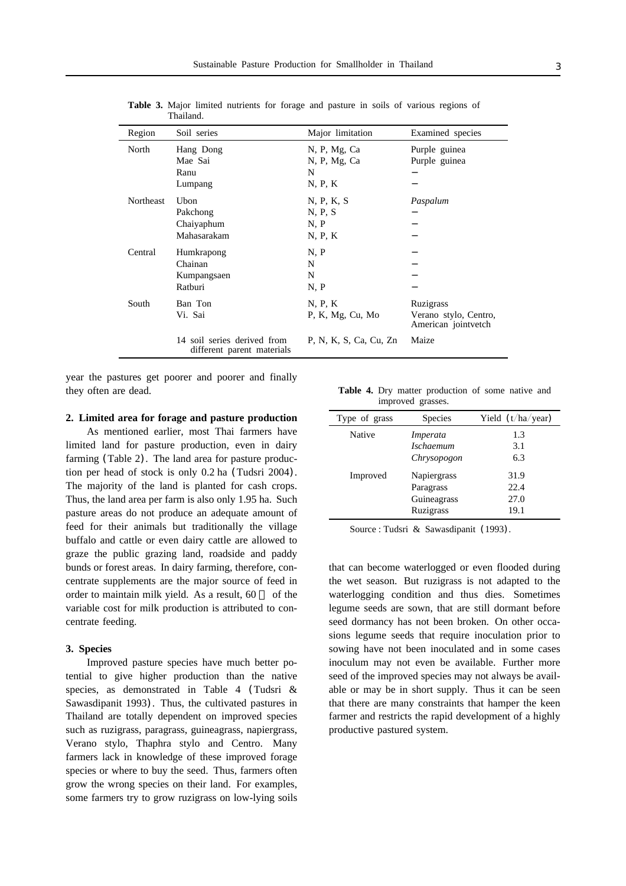| Region           | Soil series                                               | Major limitation       | Examined species                             |
|------------------|-----------------------------------------------------------|------------------------|----------------------------------------------|
| North            | Hang Dong                                                 | N, P, Mg, Ca           | Purple guinea                                |
|                  | Mae Sai                                                   | N, P, Mg, Ca           | Purple guinea                                |
|                  | Ranu                                                      | N                      |                                              |
|                  | Lumpang                                                   | N, P, K                |                                              |
| <b>Northeast</b> | Ubon                                                      | N, P, K, S             | Paspalum                                     |
|                  | Pakchong                                                  | N, P, S                |                                              |
|                  | Chaiyaphum                                                | N, P                   |                                              |
|                  | Mahasarakam                                               | N, P, K                |                                              |
| Central          | Humkrapong                                                | N, P                   |                                              |
|                  | Chainan                                                   | N                      |                                              |
|                  | Kumpangsaen                                               | N                      |                                              |
|                  | Ratburi                                                   | N, P                   |                                              |
| South            | Ban Ton                                                   | N, P, K                | Ruzigrass                                    |
|                  | Vi. Sai                                                   | P, K, Mg, Cu, Mo       | Verano stylo, Centro,<br>American jointvetch |
|                  | 14 soil series derived from<br>different parent materials | P. N. K. S. Ca. Cu. Zn | Maize                                        |

**Table 3.** Major limited nutrients for forage and pasture in soils of various regions of Thailand.

year the pastures get poorer and poorer and finally they often are dead.

#### **2. Limited area for forage and pasture production**

As mentioned earlier, most Thai farmers have limited land for pasture production, even in dairy farming (Table 2). The land area for pasture production per head of stock is only 0.2 ha (Tudsri 2004). The majority of the land is planted for cash crops. Thus, the land area per farm is also only 1.95 ha. Such pasture areas do not produce an adequate amount of feed for their animals but traditionally the village buffalo and cattle or even dairy cattle are allowed to graze the public grazing land, roadside and paddy bunds or forest areas. In dairy farming, therefore, concentrate supplements are the major source of feed in order to maintain milk yield. As a result, 60 of the variable cost for milk production is attributed to concentrate feeding.

#### **3. Species**

Improved pasture species have much better potential to give higher production than the native species, as demonstrated in Table 4 (Tudsri & Sawasdipanit 1993). Thus, the cultivated pastures in Thailand are totally dependent on improved species such as ruzigrass, paragrass, guineagrass, napiergrass, Verano stylo, Thaphra stylo and Centro. Many farmers lack in knowledge of these improved forage species or where to buy the seed. Thus, farmers often grow the wrong species on their land. For examples, some farmers try to grow ruzigrass on low-lying soils

**Table 4.** Dry matter production of some native and improved grasses.

| Type of grass | <b>Species</b>   | Yield $(t/ha/year)$ |
|---------------|------------------|---------------------|
| Native        | Imperata         | 1.3                 |
|               | <b>Ischaemum</b> | 3.1                 |
|               | Chrysopogon      | 6.3                 |
| Improved      | Napiergrass      | 31.9                |
|               | Paragrass        | 22.4                |
|               | Guineagrass      | 27.0                |
|               | Ruzigrass        | 19.1                |

Source : Tudsri & Sawasdipanit (1993).

that can become waterlogged or even flooded during the wet season. But ruzigrass is not adapted to the waterlogging condition and thus dies. Sometimes legume seeds are sown, that are still dormant before seed dormancy has not been broken. On other occasions legume seeds that require inoculation prior to sowing have not been inoculated and in some cases inoculum may not even be available. Further more seed of the improved species may not always be available or may be in short supply. Thus it can be seen that there are many constraints that hamper the keen farmer and restricts the rapid development of a highly productive pastured system.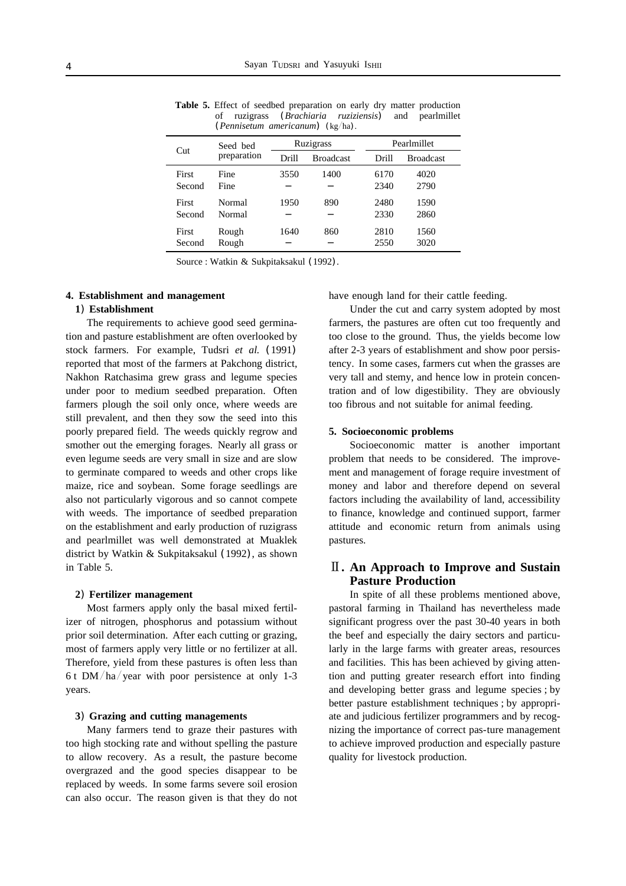|                 | Seed bed         |       | Ruzigrass        | Pearlmillet  |                  |  |
|-----------------|------------------|-------|------------------|--------------|------------------|--|
| Cut             | preparation      | Drill | <b>Broadcast</b> | Drill        | <b>Broadcast</b> |  |
| First<br>Second | Fine<br>Fine     | 3550  | 1400             | 6170<br>2340 | 4020<br>2790     |  |
| First<br>Second | Normal<br>Normal | 1950  | 890              | 2480<br>2330 | 1590<br>2860     |  |
| First<br>Second | Rough<br>Rough   | 1640  | 860              | 2810<br>2550 | 1560<br>3020     |  |

**Table 5.** Effect of seedbed preparation on early dry matter production of ruzigrass (*Brachiaria ruziziensis*) and pearlmillet (*Pennisetum americanum*) (kg/ha).

Source : Watkin & Sukpitaksakul (1992).

## **4. Establishment and management**

#### **1**) **Establishment**

The requirements to achieve good seed germination and pasture establishment are often overlooked by stock farmers. For example, Tudsri *et al.* (1991) reported that most of the farmers at Pakchong district, Nakhon Ratchasima grew grass and legume species under poor to medium seedbed preparation. Often farmers plough the soil only once, where weeds are still prevalent, and then they sow the seed into this poorly prepared field. The weeds quickly regrow and smother out the emerging forages. Nearly all grass or even legume seeds are very small in size and are slow to germinate compared to weeds and other crops like maize, rice and soybean. Some forage seedlings are also not particularly vigorous and so cannot compete with weeds. The importance of seedbed preparation on the establishment and early production of ruzigrass and pearlmillet was well demonstrated at Muaklek district by Watkin & Sukpitaksakul (1992), as shown in Table 5.

### **2**) **Fertilizer management**

Most farmers apply only the basal mixed fertilizer of nitrogen, phosphorus and potassium without prior soil determination. After each cutting or grazing, most of farmers apply very little or no fertilizer at all. Therefore, yield from these pastures is often less than 6 t DM/ha/year with poor persistence at only 1-3 years.

#### **3**) **Grazing and cutting managements**

Many farmers tend to graze their pastures with too high stocking rate and without spelling the pasture to allow recovery. As a result, the pasture become overgrazed and the good species disappear to be replaced by weeds. In some farms severe soil erosion can also occur. The reason given is that they do not have enough land for their cattle feeding.

Under the cut and carry system adopted by most farmers, the pastures are often cut too frequently and too close to the ground. Thus, the yields become low after 2-3 years of establishment and show poor persistency. In some cases, farmers cut when the grasses are very tall and stemy, and hence low in protein concentration and of low digestibility. They are obviously too fibrous and not suitable for animal feeding.

### **5. Socioeconomic problems**

Socioeconomic matter is another important problem that needs to be considered. The improvement and management of forage require investment of money and labor and therefore depend on several factors including the availability of land, accessibility to finance, knowledge and continued support, farmer attitude and economic return from animals using pastures.

# **. An Approach to Improve and Sustain Pasture Production**

In spite of all these problems mentioned above, pastoral farming in Thailand has nevertheless made significant progress over the past 30-40 years in both the beef and especially the dairy sectors and particularly in the large farms with greater areas, resources and facilities. This has been achieved by giving attention and putting greater research effort into finding and developing better grass and legume species ; by better pasture establishment techniques ; by appropriate and judicious fertilizer programmers and by recognizing the importance of correct pas-ture management to achieve improved production and especially pasture quality for livestock production.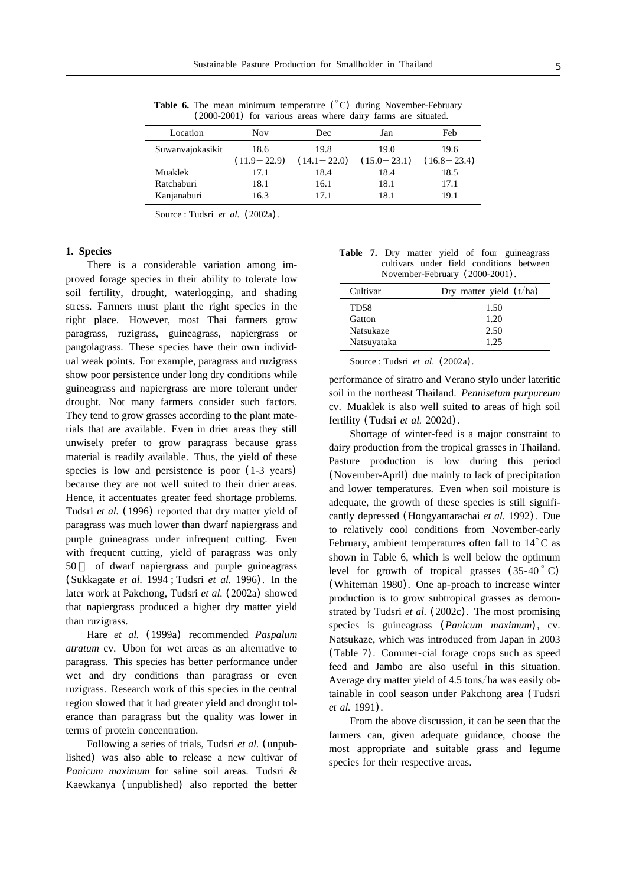| Location         | <b>Nov</b>  | Dec             | Jan             | Feb             |  |
|------------------|-------------|-----------------|-----------------|-----------------|--|
| Suwanvajokasikit | 18.6        | 19.8            | 19.0            | 19.6            |  |
|                  | (11.9 22.9) | $(14.1 \t22.0)$ | $(15.0 \t23.1)$ | $(16.8 \t23.4)$ |  |
| Muaklek          | 17.1        | 18.4            | 18.4            | 18.5            |  |
| Ratchaburi       | 18.1        | 16.1            | 18.1            | 17.1            |  |
| Kanjanaburi      | 16.3        | 17.1            | 18.1            | 19.1            |  |
|                  |             |                 |                 |                 |  |

**Table 6.** The mean minimum temperature  $({}^{\circ}C)$  during November-February (2000-2001) for various areas where dairy farms are situated.

Source : Tudsri *et al.* (2002a).

#### **1. Species**

There is a considerable variation among improved forage species in their ability to tolerate low soil fertility, drought, waterlogging, and shading stress. Farmers must plant the right species in the right place. However, most Thai farmers grow paragrass, ruzigrass, guineagrass, napiergrass or pangolagrass. These species have their own individual weak points. For example, paragrass and ruzigrass show poor persistence under long dry conditions while guineagrass and napiergrass are more tolerant under drought. Not many farmers consider such factors. They tend to grow grasses according to the plant materials that are available. Even in drier areas they still unwisely prefer to grow paragrass because grass material is readily available. Thus, the yield of these species is low and persistence is poor (1-3 years) because they are not well suited to their drier areas. Hence, it accentuates greater feed shortage problems. Tudsri et al. (1996) reported that dry matter yield of paragrass was much lower than dwarf napiergrass and purple guineagrass under infrequent cutting. Even with frequent cutting, yield of paragrass was only 50 of dwarf napiergrass and purple guineagrass (Sukkagate *et al.* 1994 ; Tudsri *et al.* 1996). In the later work at Pakchong, Tudsri *et al.* (2002a) showed that napiergrass produced a higher dry matter yield than ruzigrass.

Hare *et al.* (1999a) recommended *Paspalum atratum* cv. Ubon for wet areas as an alternative to paragrass. This species has better performance under wet and dry conditions than paragrass or even ruzigrass. Research work of this species in the central region slowed that it had greater yield and drought tolerance than paragrass but the quality was lower in terms of protein concentration.

Following a series of trials, Tudsri *et al.* (unpublished) was also able to release a new cultivar of *Panicum maximum* for saline soil areas. Tudsri & Kaewkanya (unpublished) also reported the better

**Table 7.** Dry matter yield of four guineagrass cultivars under field conditions between November-February (2000-2001).

| Cultivar    | Dry matter yield $(t/ha)$ |
|-------------|---------------------------|
| TD58        | 1.50                      |
| Gatton      | 1.20                      |
| Natsukaze   | 2.50                      |
| Natsuyataka | 1.25                      |

Source : Tudsri *et al*. (2002a).

performance of siratro and Verano stylo under lateritic soil in the northeast Thailand. *Pennisetum purpureum* cv. Muaklek is also well suited to areas of high soil fertility (Tudsri *et al.* 2002d).

Shortage of winter-feed is a major constraint to dairy production from the tropical grasses in Thailand. Pasture production is low during this period (November-April) due mainly to lack of precipitation and lower temperatures. Even when soil moisture is adequate, the growth of these species is still significantly depressed (Hongyantarachai *et al.* 1992). Due to relatively cool conditions from November-early February, ambient temperatures often fall to  $14^{\circ}$ C as shown in Table 6, which is well below the optimum level for growth of tropical grasses  $(35-40\degree C)$ (Whiteman 1980). One ap-proach to increase winter production is to grow subtropical grasses as demonstrated by Tudsri *et al.* (2002c). The most promising species is guineagrass (*Panicum maximum*), cv. Natsukaze, which was introduced from Japan in 2003 (Table 7). Commer-cial forage crops such as speed feed and Jambo are also useful in this situation. Average dry matter yield of 4.5 tons/ha was easily obtainable in cool season under Pakchong area (Tudsri *et al.* 1991).

From the above discussion, it can be seen that the farmers can, given adequate guidance, choose the most appropriate and suitable grass and legume species for their respective areas.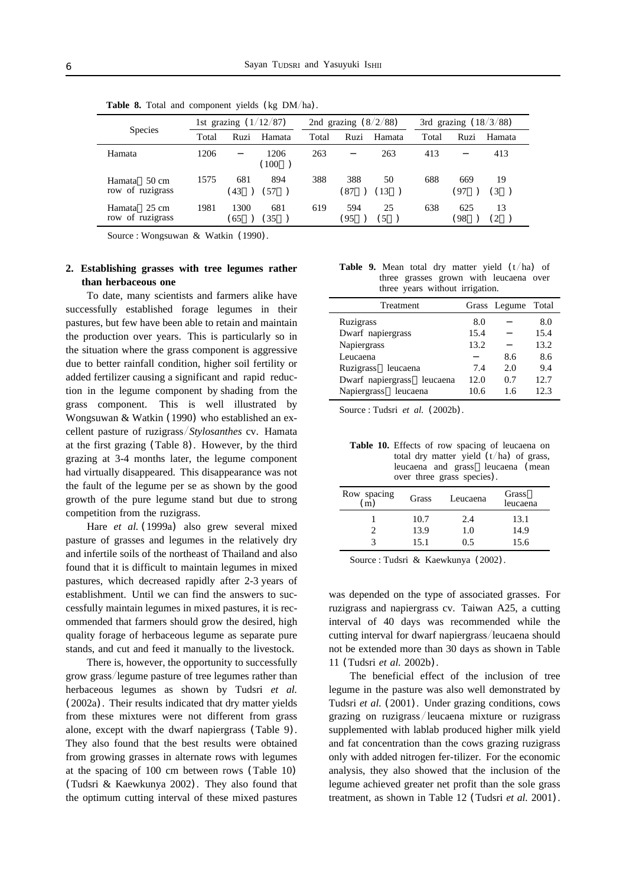|                                     | 1st grazing $(1/12/87)$ |            | 2nd grazing $(8/2/88)$ |       |            | 3rd grazing $(18/3/88)$ |       |                                |  |
|-------------------------------------|-------------------------|------------|------------------------|-------|------------|-------------------------|-------|--------------------------------|--|
| <b>Species</b>                      | Total                   | Ruzi       | Hamata                 | Total | Ruzi       | Hamata                  | Total | Ruzi<br>Hamata                 |  |
| Hamata                              | 1206                    |            | 1206<br>(100           | 263   |            | 263                     | 413   | 413                            |  |
| 50 cm<br>Hamata<br>row of ruzigrass | 1575                    | 681<br>43  | 894<br>. 57            | 388   | 388<br>87  | 50<br>13                | 688   | 669<br>19<br>(3<br>97          |  |
| 25 cm<br>Hamata<br>row of ruzigrass | 1981                    | 1300<br>65 | 681<br>35              | 619   | 594<br>'95 | 25<br>5                 | 638   | 625<br>13<br>98<br>$^{\circ}2$ |  |

**Table 8.** Total and component yields (kg DM/ha).

Source : Wongsuwan & Watkin (1990).

# **2. Establishing grasses with tree legumes rather than herbaceous one**

To date, many scientists and farmers alike have successfully established forage legumes in their pastures, but few have been able to retain and maintain the production over years. This is particularly so in the situation where the grass component is aggressive due to better rainfall condition, higher soil fertility or added fertilizer causing a significant and rapid reduction in the legume component by shading from the grass component. This is well illustrated by Wongsuwan & Watkin (1990) who established an excellent pasture of ruzigrass/Stylosanthes cv. Hamata at the first grazing (Table 8). However, by the third grazing at 3-4 months later, the legume component had virtually disappeared. This disappearance was not the fault of the legume per se as shown by the good growth of the pure legume stand but due to strong competition from the ruzigrass.

Hare *et al.* (1999a) also grew several mixed pasture of grasses and legumes in the relatively dry and infertile soils of the northeast of Thailand and also found that it is difficult to maintain legumes in mixed pastures, which decreased rapidly after 2-3 years of establishment. Until we can find the answers to successfully maintain legumes in mixed pastures, it is recommended that farmers should grow the desired, high quality forage of herbaceous legume as separate pure stands, and cut and feed it manually to the livestock.

There is, however, the opportunity to successfully grow grass/legume pasture of tree legumes rather than herbaceous legumes as shown by Tudsri *et al.* (2002a). Their results indicated that dry matter yields from these mixtures were not different from grass alone, except with the dwarf napiergrass (Table 9). They also found that the best results were obtained from growing grasses in alternate rows with legumes at the spacing of 100 cm between rows (Table 10) (Tudsri & Kaewkunya 2002). They also found that the optimum cutting interval of these mixed pastures

|  | <b>Table 9.</b> Mean total dry matter yield $(t/ha)$ of |  |  |  |
|--|---------------------------------------------------------|--|--|--|
|  | three grasses grown with leucaena over                  |  |  |  |
|  | three years without irrigation.                         |  |  |  |

| Treatment                  |      | Grass Legume Total |      |
|----------------------------|------|--------------------|------|
| Ruzigrass                  | 8.0  |                    | 8.0  |
| Dwarf napiergrass          | 15.4 |                    | 15.4 |
| Napiergrass                | 13.2 |                    | 13.2 |
| Leucaena                   |      | 8.6                | 8.6  |
| Ruzigrass leucaena         | 7.4  | 2.0                | 9.4  |
| Dwarf napiergrass leucaena | 12.0 | 0.7                | 12.7 |
| Napiergrass<br>leucaena    | 10.6 | 1.6                | 12.3 |

Source : Tudsri *et al.* (2002b).

**Table 10.** Effects of row spacing of leucaena on total dry matter yield  $(t/ha)$  of grass, leucaena and grass leucaena (mean over three grass species).

| Row spacing<br>$\rm (m)$ | Grass | Leucaena | Grass<br>leucaena |
|--------------------------|-------|----------|-------------------|
|                          | 10.7  | 2.4      | 13.1              |
|                          | 13.9  | 1.0      | 14.9              |
|                          | 15.1  | 0.5      | 15.6              |

Source : Tudsri & Kaewkunya (2002).

was depended on the type of associated grasses. For ruzigrass and napiergrass cv. Taiwan A25, a cutting interval of 40 days was recommended while the cutting interval for dwarf napiergrass/leucaena should not be extended more than 30 days as shown in Table 11 (Tudsri *et al.* 2002b).

The beneficial effect of the inclusion of tree legume in the pasture was also well demonstrated by Tudsri *et al.* (2001). Under grazing conditions, cows grazing on ruzigrass/leucaena mixture or ruzigrass supplemented with lablab produced higher milk yield and fat concentration than the cows grazing ruzigrass only with added nitrogen fer-tilizer. For the economic analysis, they also showed that the inclusion of the legume achieved greater net profit than the sole grass treatment, as shown in Table 12 (Tudsri *et al.* 2001).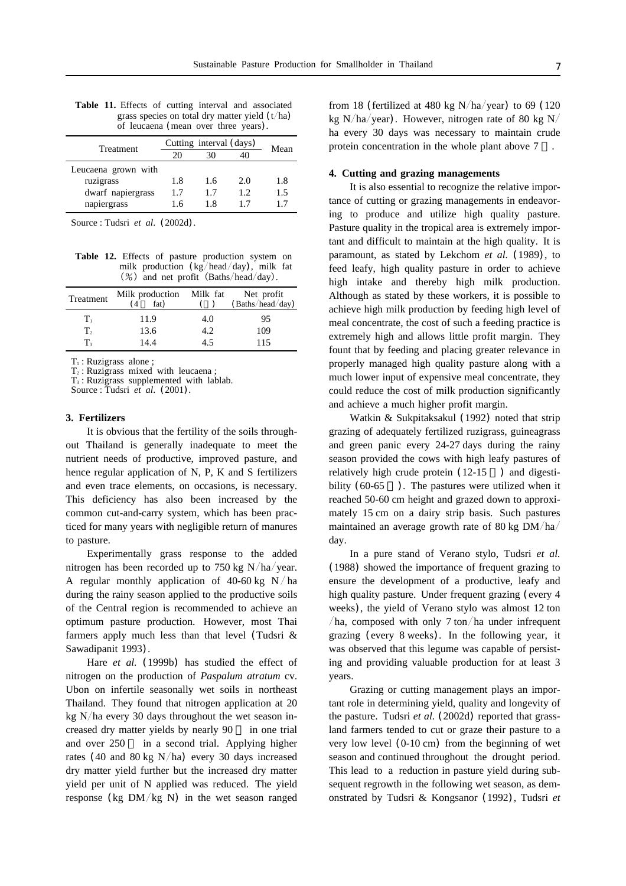| Treatment           | Cutting interval (days) |     |     | Mean |
|---------------------|-------------------------|-----|-----|------|
|                     | 20                      | 30  | 40  |      |
| Leucaena grown with |                         |     |     |      |
| ruzigrass           | 1.8                     | 1.6 | 2.0 | 1.8  |
| dwarf napiergrass   | 17                      | 17  | 12  | 1.5  |
| napiergrass         | 1.6                     | 1.8 | 17  | 17   |
|                     |                         |     |     |      |

**Table 11.** Effects of cutting interval and associated grass species on total dry matter yield  $(t/ha)$ of leucaena (mean over three years).

Source : Tudsri *et al*. (2002d).

**Table 12.** Effects of pasture production system on milk production  $(kg/head/day)$ , milk fat (%) and net profit (Baths/head/day).

| Treatment      | Milk production Milk fat $(4 \text{ fat})$ ( |     | Net profit<br>(Baths/head/day) |
|----------------|----------------------------------------------|-----|--------------------------------|
| Tı             | 11.9                                         | 4.0 | 95                             |
| $\mathbf{T}_2$ | 13.6                                         | 4.2 | 109                            |
| T,             | 14.4                                         | 45  | 115                            |

T<sub>1</sub>: Ruzigrass alone ;

 $T<sub>2</sub>$ : Ruzigrass mixed with leucaena;

T3 : Ruzigrass supplemented with lablab.

Source : Tudsri *et al*. (2001).

#### **3. Fertilizers**

It is obvious that the fertility of the soils throughout Thailand is generally inadequate to meet the nutrient needs of productive, improved pasture, and hence regular application of N, P, K and S fertilizers and even trace elements, on occasions, is necessary. This deficiency has also been increased by the common cut-and-carry system, which has been practiced for many years with negligible return of manures to pasture.

Experimentally grass response to the added nitrogen has been recorded up to 750 kg  $N/ha/year$ . A regular monthly application of 40-60 kg N/ha during the rainy season applied to the productive soils of the Central region is recommended to achieve an optimum pasture production. However, most Thai farmers apply much less than that level (Tudsri & Sawadipanit 1993).

Hare *et al.* (1999b) has studied the effect of nitrogen on the production of *Paspalum atratum* cv. Ubon on infertile seasonally wet soils in northeast Thailand. They found that nitrogen application at 20 kg  $N/ha$  every 30 days throughout the wet season increased dry matter yields by nearly 90 in one trial and over 250 in a second trial. Applying higher rates (40 and 80 kg N/ha) every 30 days increased dry matter yield further but the increased dry matter yield per unit of N applied was reduced. The yield response (kg  $DM/kg$  N) in the wet season ranged

from 18 (fertilized at 480 kg  $N/ha/year$ ) to 69 (120 kg N/ha/year). However, nitrogen rate of 80 kg N/ ha every 30 days was necessary to maintain crude protein concentration in the whole plant above 7 .

#### **4. Cutting and grazing managements**

It is also essential to recognize the relative importance of cutting or grazing managements in endeavoring to produce and utilize high quality pasture. Pasture quality in the tropical area is extremely important and difficult to maintain at the high quality. It is paramount, as stated by Lekchom *et al.* (1989), to feed leafy, high quality pasture in order to achieve high intake and thereby high milk production. Although as stated by these workers, it is possible to achieve high milk production by feeding high level of meal concentrate, the cost of such a feeding practice is extremely high and allows little profit margin. They fount that by feeding and placing greater relevance in properly managed high quality pasture along with a much lower input of expensive meal concentrate, they could reduce the cost of milk production significantly and achieve a much higher profit margin.

Watkin & Sukpitaksakul (1992) noted that strip grazing of adequately fertilized ruzigrass, guineagrass and green panic every 24-27 days during the rainy season provided the cows with high leafy pastures of relatively high crude protein  $(12-15)$  and digestibility  $(60-65)$ . The pastures were utilized when it reached 50-60 cm height and grazed down to approximately 15 cm on a dairy strip basis. Such pastures maintained an average growth rate of 80 kg  $DM/ha/$ day.

In a pure stand of Verano stylo, Tudsri *et al.* (1988) showed the importance of frequent grazing to ensure the development of a productive, leafy and high quality pasture. Under frequent grazing (every 4 weeks), the yield of Verano stylo was almost 12 ton /ha, composed with only  $7 \text{ ton/ha}$  under infrequent grazing (every 8 weeks). In the following year, it was observed that this legume was capable of persisting and providing valuable production for at least 3 years.

Grazing or cutting management plays an important role in determining yield, quality and longevity of the pasture. Tudsri *et al.* (2002d) reported that grassland farmers tended to cut or graze their pasture to a very low level (0-10 cm) from the beginning of wet season and continued throughout the drought period. This lead to a reduction in pasture yield during subsequent regrowth in the following wet season, as demonstrated by Tudsri & Kongsanor (1992), Tudsri *et*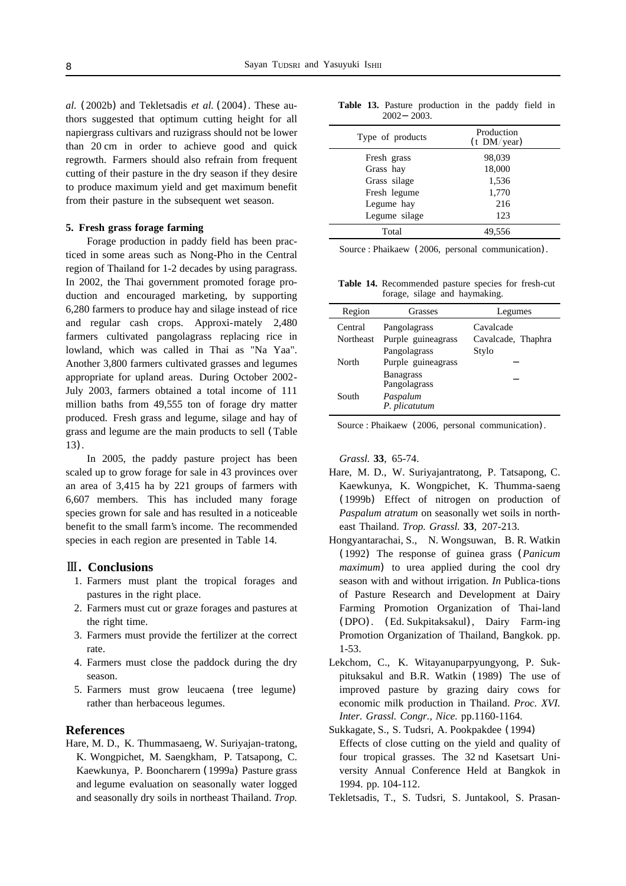*al.* (2002b) and Tekletsadis *et al.* (2004). These authors suggested that optimum cutting height for all napiergrass cultivars and ruzigrass should not be lower than 20 cm in order to achieve good and quick regrowth. Farmers should also refrain from frequent cutting of their pasture in the dry season if they desire to produce maximum yield and get maximum benefit from their pasture in the subsequent wet season.

#### **5. Fresh grass forage farming**

Forage production in paddy field has been practiced in some areas such as Nong-Pho in the Central region of Thailand for 1-2 decades by using paragrass. In 2002, the Thai government promoted forage production and encouraged marketing, by supporting 6,280 farmers to produce hay and silage instead of rice and regular cash crops. Approxi-mately 2,480 farmers cultivated pangolagrass replacing rice in lowland, which was called in Thai as "Na Yaa". Another 3,800 farmers cultivated grasses and legumes appropriate for upland areas. During October 2002- July 2003, farmers obtained a total income of 111 million baths from 49,555 ton of forage dry matter produced. Fresh grass and legume, silage and hay of grass and legume are the main products to sell (Table 13).

In 2005, the paddy pasture project has been scaled up to grow forage for sale in 43 provinces over an area of 3,415 ha by 221 groups of farmers with 6,607 members. This has included many forage species grown for sale and has resulted in a noticeable benefit to the small farm's income. The recommended species in each region are presented in Table 14.

#### **. Conclusions**

- 1. Farmers must plant the tropical forages and pastures in the right place.
- 2. Farmers must cut or graze forages and pastures at the right time.
- 3. Farmers must provide the fertilizer at the correct rate.
- 4. Farmers must close the paddock during the dry season.
- 5. Farmers must grow leucaena (tree legume) rather than herbaceous legumes.

# **References**

Hare, M. D., K. Thummasaeng, W. Suriyajan-tratong, K. Wongpichet, M. Saengkham, P. Tatsapong, C. Kaewkunya, P. Booncharern (1999a) Pasture grass and legume evaluation on seasonally water logged and seasonally dry soils in northeast Thailand. *Trop.*

**Table 13.** Pasture production in the paddy field in 2002 2003.

| Type of products | Production<br>$(t$ DM/year) |  |
|------------------|-----------------------------|--|
| Fresh grass      | 98,039                      |  |
| Grass hay        | 18,000                      |  |
| Grass silage     | 1,536                       |  |
| Fresh legume     | 1,770                       |  |
| Legume hay       | 216                         |  |
| Legume silage    | 123                         |  |
| Total            | 49.556                      |  |

Source : Phaikaew (2006, personal communication).

**Table 14.** Recommended pasture species for fresh-cut forage, silage and haymaking.

| Region    | <b>Grasses</b>     | Legumes            |
|-----------|--------------------|--------------------|
| Central   | Pangolagrass       | Cavalcade          |
| Northeast | Purple guineagrass | Cavalcade, Thaphra |
|           | Pangolagrass       | Stylo              |
| North     | Purple guineagrass |                    |
|           | <b>Banagrass</b>   |                    |
|           | Pangolagrass       |                    |
| South     | Paspalum           |                    |
|           | P. plicatutum      |                    |
|           |                    |                    |

Source : Phaikaew (2006, personal communication).

*Grassl.* **33**, 65-74.

- Hare, M. D., W. Suriyajantratong, P. Tatsapong, C. Kaewkunya, K. Wongpichet, K. Thumma-saeng (1999b) Effect of nitrogen on production of *Paspalum atratum* on seasonally wet soils in northeast Thailand. *Trop. Grassl.* **33**, 207-213.
- Hongyantarachai, S., N. Wongsuwan, B. R. Watkin (1992) The response of guinea grass (*Panicum maximum*) to urea applied during the cool dry season with and without irrigation. *In* Publica-tions of Pasture Research and Development at Dairy Farming Promotion Organization of Thai-land (DPO). (Ed. Sukpitaksakul), Dairy Farm-ing Promotion Organization of Thailand, Bangkok. pp. 1-53.
- Lekchom, C., K. Witayanuparpyungyong, P. Sukpituksakul and B.R. Watkin (1989) The use of improved pasture by grazing dairy cows for economic milk production in Thailand. *Proc. XVI. Inter. Grassl. Congr., Nice.* pp.1160-1164.
- Sukkagate, S., S. Tudsri, A. Pookpakdee (1994) Effects of close cutting on the yield and quality of four tropical grasses. The 32 nd Kasetsart University Annual Conference Held at Bangkok in 1994. pp. 104-112.
- Tekletsadis, T., S. Tudsri, S. Juntakool, S. Prasan-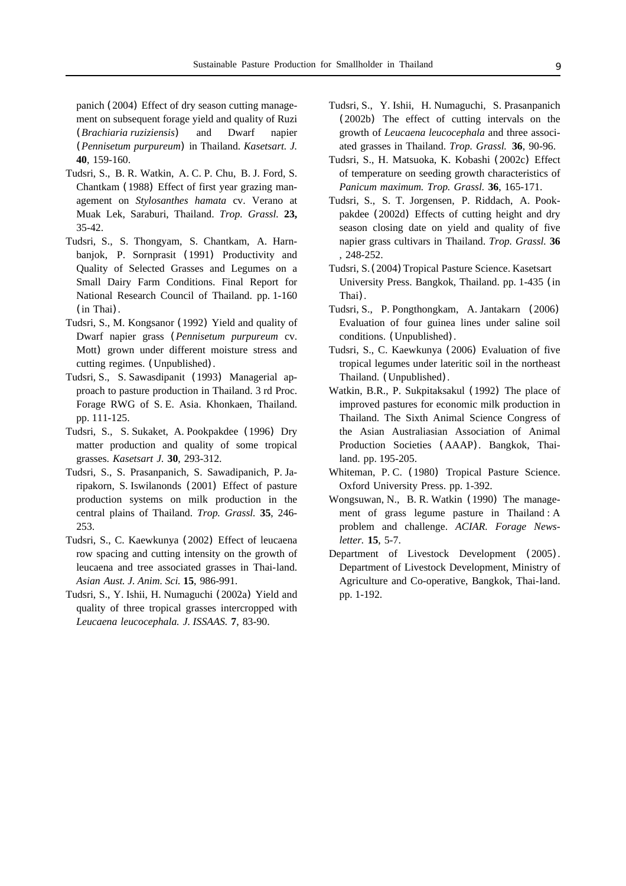panich (2004) Effect of dry season cutting management on subsequent forage yield and quality of Ruzi (*Brachiaria ruziziensis*) and Dwarf napier (*Pennisetum purpureum*) in Thailand. *Kasetsart. J.* **40**, 159-160.

- Tudsri, S., B. R. Watkin, A. C. P. Chu, B. J. Ford, S. Chantkam (1988) Effect of first year grazing management on *Stylosanthes hamata* cv. Verano at Muak Lek, Saraburi, Thailand. *Trop. Grassl.* **23,** 35-42.
- Tudsri, S., S. Thongyam, S. Chantkam, A. Harnbanjok, P. Sornprasit (1991) Productivity and Quality of Selected Grasses and Legumes on a Small Dairy Farm Conditions. Final Report for National Research Council of Thailand. pp. 1-160 (in Thai).
- Tudsri, S., M. Kongsanor (1992) Yield and quality of Dwarf napier grass (*Pennisetum purpureum* cv. Mott) grown under different moisture stress and cutting regimes. (Unpublished).
- Tudsri, S., S. Sawasdipanit (1993) Managerial approach to pasture production in Thailand. 3 rd Proc. Forage RWG of S. E. Asia. Khonkaen, Thailand. pp. 111-125.
- Tudsri, S., S. Sukaket, A. Pookpakdee (1996) Dry matter production and quality of some tropical grasses. *Kasetsart J.* **30**, 293-312.
- Tudsri, S., S. Prasanpanich, S. Sawadipanich, P. Jaripakorn, S. Iswilanonds (2001) Effect of pasture production systems on milk production in the central plains of Thailand. *Trop. Grassl.* **35**, 246- 253.
- Tudsri, S., C. Kaewkunya (2002) Effect of leucaena row spacing and cutting intensity on the growth of leucaena and tree associated grasses in Thai-land. *Asian Aust. J. Anim. Sci.* **15**, 986-991.
- Tudsri, S., Y. Ishii, H. Numaguchi (2002a) Yield and quality of three tropical grasses intercropped with *Leucaena leucocephala. J. ISSAAS.* **7**, 83-90.
- Tudsri, S., Y. Ishii, H. Numaguchi, S. Prasanpanich (2002b) The effect of cutting intervals on the growth of *Leucaena leucocephala* and three associated grasses in Thailand. *Trop. Grassl.* **36**, 90-96.
- Tudsri, S., H. Matsuoka, K. Kobashi (2002c) Effect of temperature on seeding growth characteristics of *Panicum maximum. Trop. Grassl.* **36**, 165-171.
- Tudsri, S., S. T. Jorgensen, P. Riddach, A. Pookpakdee (2002d) Effects of cutting height and dry season closing date on yield and quality of five napier grass cultivars in Thailand. *Trop. Grassl.* **36** , 248-252.
- Tudsri, S. (2004) Tropical Pasture Science. Kasetsart University Press. Bangkok, Thailand. pp. 1-435 (in Thai).
- Tudsri, S., P. Pongthongkam, A. Jantakarn (2006) Evaluation of four guinea lines under saline soil conditions. (Unpublished).
- Tudsri, S., C. Kaewkunya (2006) Evaluation of five tropical legumes under lateritic soil in the northeast Thailand. (Unpublished).
- Watkin, B.R., P. Sukpitaksakul (1992) The place of improved pastures for economic milk production in Thailand. The Sixth Animal Science Congress of the Asian Australiasian Association of Animal Production Societies (AAAP). Bangkok, Thailand. pp. 195-205.
- Whiteman, P. C. (1980) Tropical Pasture Science. Oxford University Press. pp. 1-392.
- Wongsuwan, N., B. R. Watkin (1990) The management of grass legume pasture in Thailand : A problem and challenge. *ACIAR. Forage Newsletter.* **15**, 5-7.
- Department of Livestock Development (2005). Department of Livestock Development, Ministry of Agriculture and Co-operative, Bangkok, Thai-land. pp. 1-192.